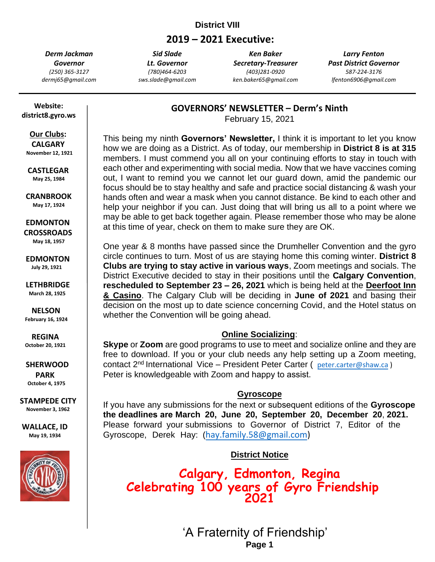## **District VIII**

# **2019 – 2021 Executive:**

*Derm Jackman Governor (250) 365-3127 dermj65@gmail.com*

*Sid Slade Lt. Governor (780)464-6203 sws.slade@gmail.com*

*Ken Baker Secretary-Treasurer (403)281-0920 ken.baker65@gmail.com*

*Larry Fenton Past District Governor 587-224-3176 lfenton6906@gmail.com*

 **Website: district8.gyro.ws**

> **Our Clubs: CALGARY**

 **November 12, 1921**

**CASTLEGAR May 25, 1984**

 **CRANBROOK May 17, 1924**

 **EDMONTON CROSSROADS May 18, 1957**

 **EDMONTON July 29, 1921**

 **LETHBRIDGE March 28, 1925**

**NELSON February 16, 1924**

**REGINA October 20, 1921**

 **SHERWOOD PARK October 4, 1975**

**STAMPEDE CITY November 3, 1962**

**WALLACE, ID May 19, 1934**



**GOVERNORS' NEWSLETTER – Derm's Ninth** 

February 15, 2021

This being my ninth **Governors' Newsletter,** I think it is important to let you know how we are doing as a District. As of today, our membership in **District 8 is at 315**  members. I must commend you all on your continuing efforts to stay in touch with each other and experimenting with social media. Now that we have vaccines coming out, I want to remind you we cannot let our guard down, amid the pandemic our focus should be to stay healthy and safe and practice social distancing & wash your hands often and wear a mask when you cannot distance. Be kind to each other and help your neighbor if you can. Just doing that will bring us all to a point where we may be able to get back together again. Please remember those who may be alone at this time of year, check on them to make sure they are OK.

One year & 8 months have passed since the Drumheller Convention and the gyro circle continues to turn. Most of us are staying home this coming winter. **District 8 Clubs are trying to stay active in various ways**, Zoom meetings and socials. The District Executive decided to stay in their positions until the **Calgary Convention**, **rescheduled to September 23 – 26, 2021** which is being held at the **Deerfoot Inn & Casino**. The Calgary Club will be deciding in **June of 2021** and basing their decision on the most up to date science concerning Covid, and the Hotel status on whether the Convention will be going ahead.

#### **Online Socializing**:

**Skype** or **Zoom** are good programs to use to meet and socialize online and they are free to download. If you or your club needs any help setting up a Zoom meeting, contact 2<sup>nd</sup> International Vice – President Peter Carter ([peter.carter@shaw.ca](mailto:peter.carter@shaw.ca)) Peter is knowledgeable with Zoom and happy to assist.

## **Gyroscope**

If you have any submissions for the next or subsequent editions of the **Gyroscope the deadlines are March 20, June 20, September 20, December 20**, **2021.** Please forward your submissions to Governor of District 7, Editor of the Gyroscope, Derek Hay: ([hay.family.58@gmail.com\)](mailto:hay.family.58@gmail.com)

**District Notice**

**Calgary, Edmonton, Regina Celebrating 100 years of Gyro Friendship 2021** 

> **'A Fraternity o** 'A Fraternity of Friendship' **Page 1**